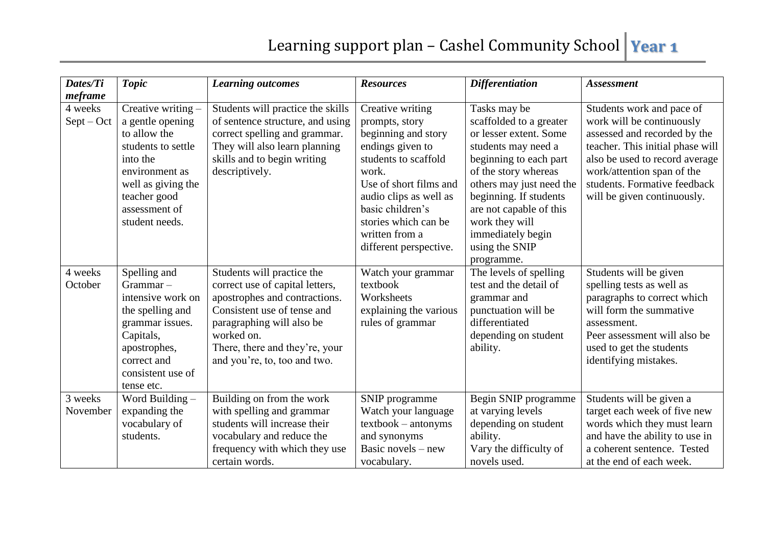| Dates/Ti<br>meframe     | <b>Topic</b>                                                                                                                                                                        | <b>Learning outcomes</b>                                                                                                                                                                                                                   | <b>Resources</b>                                                                                                                                                                                                                                           | <b>Differentiation</b>                                                                                                                                                                                                                                                                             | <b>Assessment</b>                                                                                                                                                                                                                                         |
|-------------------------|-------------------------------------------------------------------------------------------------------------------------------------------------------------------------------------|--------------------------------------------------------------------------------------------------------------------------------------------------------------------------------------------------------------------------------------------|------------------------------------------------------------------------------------------------------------------------------------------------------------------------------------------------------------------------------------------------------------|----------------------------------------------------------------------------------------------------------------------------------------------------------------------------------------------------------------------------------------------------------------------------------------------------|-----------------------------------------------------------------------------------------------------------------------------------------------------------------------------------------------------------------------------------------------------------|
| 4 weeks<br>$Sept - Oct$ | Creative writing -<br>a gentle opening<br>to allow the<br>students to settle<br>into the<br>environment as<br>well as giving the<br>teacher good<br>assessment of<br>student needs. | Students will practice the skills<br>of sentence structure, and using<br>correct spelling and grammar.<br>They will also learn planning<br>skills and to begin writing<br>descriptively.                                                   | Creative writing<br>prompts, story<br>beginning and story<br>endings given to<br>students to scaffold<br>work.<br>Use of short films and<br>audio clips as well as<br>basic children's<br>stories which can be<br>written from a<br>different perspective. | Tasks may be<br>scaffolded to a greater<br>or lesser extent. Some<br>students may need a<br>beginning to each part<br>of the story whereas<br>others may just need the<br>beginning. If students<br>are not capable of this<br>work they will<br>immediately begin<br>using the SNIP<br>programme. | Students work and pace of<br>work will be continuously<br>assessed and recorded by the<br>teacher. This initial phase will<br>also be used to record average<br>work/attention span of the<br>students. Formative feedback<br>will be given continuously. |
| 4 weeks<br>October      | Spelling and<br>$Grammar -$<br>intensive work on<br>the spelling and<br>grammar issues.<br>Capitals,<br>apostrophes,<br>correct and<br>consistent use of<br>tense etc.              | Students will practice the<br>correct use of capital letters,<br>apostrophes and contractions.<br>Consistent use of tense and<br>paragraphing will also be<br>worked on.<br>There, there and they're, your<br>and you're, to, too and two. | Watch your grammar<br>textbook<br>Worksheets<br>explaining the various<br>rules of grammar                                                                                                                                                                 | The levels of spelling<br>test and the detail of<br>grammar and<br>punctuation will be<br>differentiated<br>depending on student<br>ability.                                                                                                                                                       | Students will be given<br>spelling tests as well as<br>paragraphs to correct which<br>will form the summative<br>assessment.<br>Peer assessment will also be<br>used to get the students<br>identifying mistakes.                                         |
| 3 weeks<br>November     | Word Building -<br>expanding the<br>vocabulary of<br>students.                                                                                                                      | Building on from the work<br>with spelling and grammar<br>students will increase their<br>vocabulary and reduce the<br>frequency with which they use<br>certain words.                                                                     | SNIP programme<br>Watch your language<br>$textbook - antonyms$<br>and synonyms<br>Basic novels $-$ new<br>vocabulary.                                                                                                                                      | Begin SNIP programme<br>at varying levels<br>depending on student<br>ability.<br>Vary the difficulty of<br>novels used.                                                                                                                                                                            | Students will be given a<br>target each week of five new<br>words which they must learn<br>and have the ability to use in<br>a coherent sentence. Tested<br>at the end of each week.                                                                      |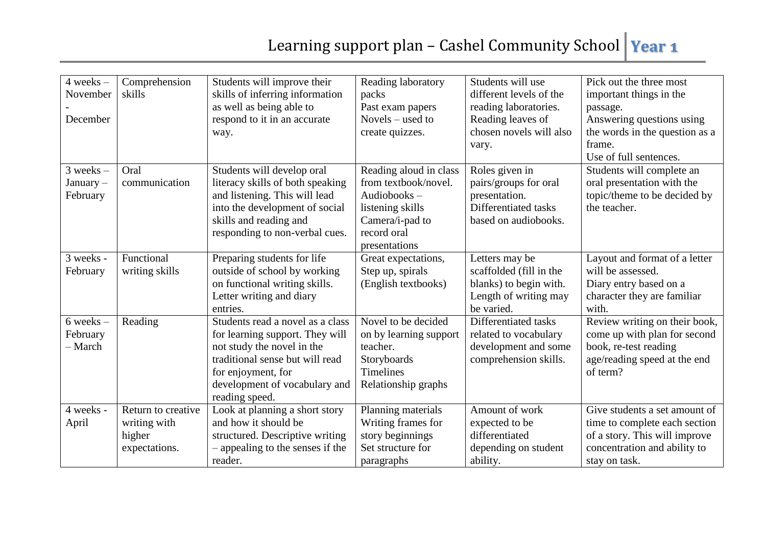| $4 weeks -$   | Comprehension      | Students will improve their      | Reading laboratory     | Students will use                            | Pick out the three most        |
|---------------|--------------------|----------------------------------|------------------------|----------------------------------------------|--------------------------------|
| November      | skills             | skills of inferring information  | packs                  | different levels of the                      | important things in the        |
|               |                    | as well as being able to         | Past exam papers       | reading laboratories.                        |                                |
| December      |                    | respond to it in an accurate     | Novels – used to       |                                              | passage.                       |
|               |                    |                                  |                        | Reading leaves of<br>chosen novels will also | Answering questions using      |
|               |                    | way.                             | create quizzes.        |                                              | the words in the question as a |
|               |                    |                                  |                        | vary.                                        | frame.                         |
|               |                    |                                  |                        |                                              | Use of full sentences.         |
| $3$ weeks $-$ | Oral               | Students will develop oral       | Reading aloud in class | Roles given in                               | Students will complete an      |
| $January -$   | communication      | literacy skills of both speaking | from textbook/novel.   | pairs/groups for oral                        | oral presentation with the     |
| February      |                    | and listening. This will lead    | Audiobooks $-$         | presentation.                                | topic/theme to be decided by   |
|               |                    | into the development of social   | listening skills       | Differentiated tasks                         | the teacher.                   |
|               |                    | skills and reading and           | Camera/i-pad to        | based on audiobooks.                         |                                |
|               |                    | responding to non-verbal cues.   | record oral            |                                              |                                |
|               |                    |                                  | presentations          |                                              |                                |
| 3 weeks -     | Functional         | Preparing students for life      | Great expectations,    | Letters may be                               | Layout and format of a letter  |
| February      | writing skills     | outside of school by working     | Step up, spirals       | scaffolded (fill in the                      | will be assessed.              |
|               |                    | on functional writing skills.    | (English textbooks)    | blanks) to begin with.                       | Diary entry based on a         |
|               |                    | Letter writing and diary         |                        | Length of writing may                        | character they are familiar    |
|               |                    | entries.                         |                        | be varied.                                   | with.                          |
| $6$ weeks $-$ | Reading            | Students read a novel as a class | Novel to be decided    | Differentiated tasks                         | Review writing on their book,  |
| February      |                    | for learning support. They will  | on by learning support | related to vocabulary                        | come up with plan for second   |
| - March       |                    | not study the novel in the       | teacher.               | development and some                         | book, re-test reading          |
|               |                    | traditional sense but will read  | Storyboards            | comprehension skills.                        | age/reading speed at the end   |
|               |                    | for enjoyment, for               | Timelines              |                                              | of term?                       |
|               |                    | development of vocabulary and    | Relationship graphs    |                                              |                                |
|               |                    | reading speed.                   |                        |                                              |                                |
| 4 weeks -     | Return to creative | Look at planning a short story   | Planning materials     | Amount of work                               | Give students a set amount of  |
| April         | writing with       | and how it should be             | Writing frames for     | expected to be                               | time to complete each section  |
|               | higher             | structured. Descriptive writing  | story beginnings       | differentiated                               | of a story. This will improve  |
|               | expectations.      | - appealing to the senses if the | Set structure for      | depending on student                         | concentration and ability to   |
|               |                    | reader.                          | paragraphs             | ability.                                     | stay on task.                  |